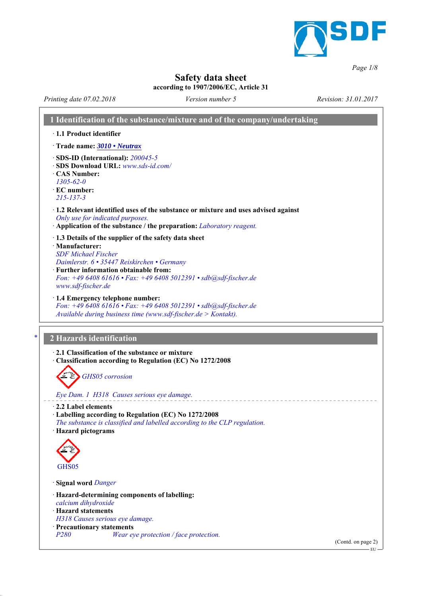

*Page 1/8*

# **Safety data sheet**

#### **according to 1907/2006/EC, Article 31**

*Printing date 07.02.2018 Revision: 31.01.2017 Version number 5*

|                                                                                              | 1 Identification of the substance/mixture and of the company/undertaking                                                                                                                                          |
|----------------------------------------------------------------------------------------------|-------------------------------------------------------------------------------------------------------------------------------------------------------------------------------------------------------------------|
| · 1.1 Product identifier                                                                     |                                                                                                                                                                                                                   |
|                                                                                              | Trade name: 3010 • Neutrax                                                                                                                                                                                        |
| <b>CAS Number:</b><br>$1305 - 62 - 0$<br>$\cdot$ EC number:<br>$215 - 137 - 3$               | $\cdot$ SDS-ID (International): 200045-5<br>· SDS Download URL: www.sds-id.com/                                                                                                                                   |
|                                                                                              | $\cdot$ 1.2 Relevant identified uses of the substance or mixture and uses advised against<br>Only use for indicated purposes.<br>Application of the substance / the preparation: <i>Laboratory reagent</i> .      |
| · Manufacturer:<br><b>SDF</b> Michael Fischer<br>www.sdf-fischer.de                          | 1.3 Details of the supplier of the safety data sheet<br>Daimlerstr. 6 · 35447 Reiskirchen • Germany<br>· Further information obtainable from:<br>Fon: +49 6408 61616 · Fax: +49 6408 5012391 · sdb@sdf-fischer.de |
|                                                                                              | · 1.4 Emergency telephone number:<br>Fon: +49 6408 61616 · Fax: +49 6408 5012391 · sdb@sdf-fischer.de<br>Available during business time (www.sdf-fischer.de $>$ Kontakt).                                         |
|                                                                                              |                                                                                                                                                                                                                   |
|                                                                                              | 2 Hazards identification                                                                                                                                                                                          |
|                                                                                              | 2.1 Classification of the substance or mixture<br>Classification according to Regulation (EC) No 1272/2008<br>GHS05 corrosion                                                                                     |
| $\cdot$ 2.2 Label elements<br>· Hazard pictograms                                            | Eye Dam. 1 H318 Causes serious eye damage.<br>· Labelling according to Regulation (EC) No 1272/2008<br>The substance is classified and labelled according to the CLP regulation.                                  |
| GHS <sub>05</sub>                                                                            |                                                                                                                                                                                                                   |
| Signal word Danger                                                                           |                                                                                                                                                                                                                   |
| calcium dihydroxide<br>· Hazard statements<br>· Precautionary statements<br>P <sub>280</sub> | · Hazard-determining components of labelling:<br>H318 Causes serious eye damage.<br>Wear eye protection / face protection.                                                                                        |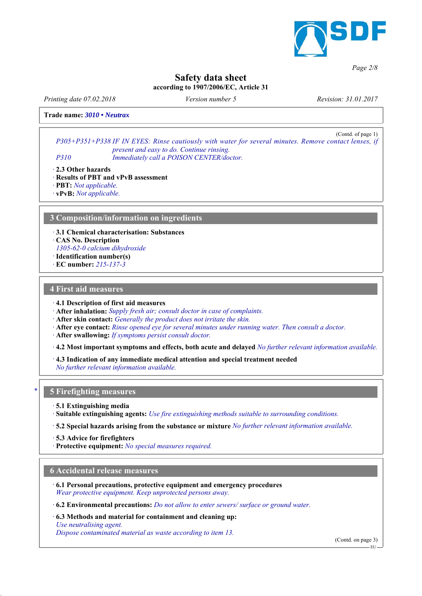

*Page 2/8*

# **Safety data sheet**

**according to 1907/2006/EC, Article 31**

*Printing date 07.02.2018 Revision: 31.01.2017 Version number 5*

**Trade name:** *3010 • Neutrax*

(Contd. of page 1) *P305+P351+P338 IF IN EYES: Rinse cautiously with water for several minutes. Remove contact lenses, if present and easy to do. Continue rinsing. P310 Immediately call a POISON CENTER/doctor.*

*ꞏ* **2.3 Other hazards**

*ꞏ* **Results of PBT and vPvB assessment** *ꞏ* **PBT:** *Not applicable.*

*ꞏ* **vPvB:** *Not applicable.*

## **3 Composition/information on ingredients**

*ꞏ* **3.1 Chemical characterisation: Substances**

*ꞏ* **CAS No. Description**

*1305-62-0 calcium dihydroxide*

- *ꞏ* **Identification number(s)**
- *ꞏ* **EC number:** *215-137-3*

#### **4 First aid measures**

*ꞏ* **4.1 Description of first aid measures**

*ꞏ* **After inhalation:** *Supply fresh air; consult doctor in case of complaints.*

*ꞏ* **After skin contact:** *Generally the product does not irritate the skin.*

*ꞏ* **After eye contact:** *Rinse opened eye for several minutes under running water. Then consult a doctor.*

*ꞏ* **After swallowing:** *If symptoms persist consult doctor.*

*ꞏ* **4.2 Most important symptoms and effects, both acute and delayed** *No further relevant information available.*

*ꞏ* **4.3 Indication of any immediate medical attention and special treatment needed** *No further relevant information available.*

## *\** **5 Firefighting measures**

*ꞏ* **5.1 Extinguishing media**

*ꞏ* **Suitable extinguishing agents:** *Use fire extinguishing methods suitable to surrounding conditions.*

*ꞏ* **5.2 Special hazards arising from the substance or mixture** *No further relevant information available.*

*ꞏ* **5.3 Advice for firefighters**

*ꞏ* **Protective equipment:** *No special measures required.*

#### **6 Accidental release measures**

*ꞏ* **6.1 Personal precautions, protective equipment and emergency procedures** *Wear protective equipment. Keep unprotected persons away.*

*ꞏ* **6.2 Environmental precautions:** *Do not allow to enter sewers/ surface or ground water.*

*ꞏ* **6.3 Methods and material for containment and cleaning up:** *Use neutralising agent.*

*Dispose contaminated material as waste according to item 13.*

(Contd. on page 3)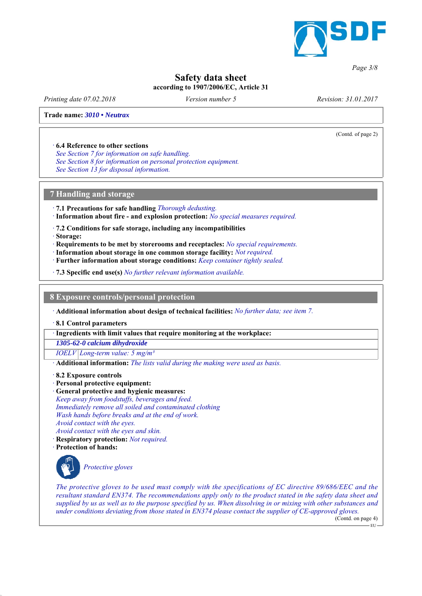

#### *Page 3/8*

# **Safety data sheet**

**according to 1907/2006/EC, Article 31**

*Printing date 07.02.2018 Revision: 31.01.2017 Version number 5*

(Contd. of page 2)

#### **Trade name:** *3010 • Neutrax*

#### *ꞏ* **6.4 Reference to other sections**

*See Section 7 for information on safe handling. See Section 8 for information on personal protection equipment. See Section 13 for disposal information.*

#### **7 Handling and storage**

*ꞏ* **7.1 Precautions for safe handling** *Thorough dedusting. ꞏ* **Information about fire - and explosion protection:** *No special measures required.*

*ꞏ* **7.2 Conditions for safe storage, including any incompatibilities**

*ꞏ* **Storage:**

- *ꞏ* **Requirements to be met by storerooms and receptacles:** *No special requirements.*
- *ꞏ* **Information about storage in one common storage facility:** *Not required.*
- *ꞏ* **Further information about storage conditions:** *Keep container tightly sealed.*

*ꞏ* **7.3 Specific end use(s)** *No further relevant information available.*

**8 Exposure controls/personal protection**

*ꞏ* **Additional information about design of technical facilities:** *No further data; see item 7.*

*ꞏ* **8.1 Control parameters**

*ꞏ* **Ingredients with limit values that require monitoring at the workplace:**

*1305-62-0 calcium dihydroxide*

*IOELV Long-term value: 5 mg/m³*

*ꞏ* **Additional information:** *The lists valid during the making were used as basis.*

- *ꞏ* **8.2 Exposure controls**
- *ꞏ* **Personal protective equipment:**

*ꞏ* **General protective and hygienic measures:** *Keep away from foodstuffs, beverages and feed. Immediately remove all soiled and contaminated clothing Wash hands before breaks and at the end of work.*

- *Avoid contact with the eyes.*
- *Avoid contact with the eyes and skin.*
- *ꞏ* **Respiratory protection:** *Not required.*

*ꞏ* **Protection of hands:**



*Protective gloves*

*The protective gloves to be used must comply with the specifications of EC directive 89/686/EEC and the resultant standard EN374. The recommendations apply only to the product stated in the safety data sheet and supplied by us as well as to the purpose specified by us. When dissolving in or mixing with other substances and under conditions deviating from those stated in EN374 please contact the supplier of CE-approved gloves.*

(Contd. on page 4)  $-$  FU  $-$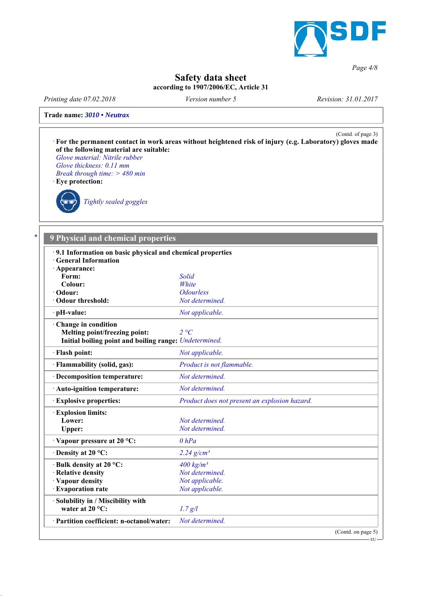

*Page 4/8*

EU

# **Safety data sheet**

**according to 1907/2006/EC, Article 31**

*Printing date 07.02.2018 Revision: 31.01.2017 Version number 5*

**Trade name:** *3010 • Neutrax*



## *\** **9 Physical and chemical properties**

| · 9.1 Information on basic physical and chemical properties<br><b>General Information</b>                      |                                               |                    |
|----------------------------------------------------------------------------------------------------------------|-----------------------------------------------|--------------------|
| · Appearance:                                                                                                  |                                               |                    |
| Form:                                                                                                          | Solid                                         |                    |
| Colour:                                                                                                        | White                                         |                    |
| $\cdot$ Odour:                                                                                                 | <b>Odourless</b>                              |                    |
| · Odour threshold:                                                                                             | Not determined.                               |                    |
| $\cdot$ pH-value:                                                                                              | Not applicable.                               |                    |
| Change in condition<br>Melting point/freezing point:<br>Initial boiling point and boiling range: Undetermined. | 2 °C                                          |                    |
| · Flash point:                                                                                                 | Not applicable.                               |                    |
| · Flammability (solid, gas):                                                                                   | Product is not flammable.                     |                    |
| · Decomposition temperature:                                                                                   | Not determined.                               |                    |
| · Auto-ignition temperature:                                                                                   | Not determined.                               |                    |
| <b>Explosive properties:</b>                                                                                   | Product does not present an explosion hazard. |                    |
| <b>Explosion limits:</b>                                                                                       |                                               |                    |
| Lower:                                                                                                         | Not determined.                               |                    |
| Upper:                                                                                                         | Not determined.                               |                    |
| Vapour pressure at 20 °C:                                                                                      | $0$ hPa                                       |                    |
| $\cdot$ Density at 20 °C:                                                                                      | $2.24$ g/cm <sup>3</sup>                      |                    |
| · Bulk density at 20 °C:                                                                                       | $400 \text{ kg/m}^3$                          |                    |
| · Relative density                                                                                             | Not determined.                               |                    |
| · Vapour density                                                                                               | Not applicable.                               |                    |
| · Evaporation rate                                                                                             | Not applicable.                               |                    |
| · Solubility in / Miscibility with<br>water at $20^{\circ}$ C:                                                 | 1.7 g/l                                       |                    |
| · Partition coefficient: n-octanol/water:                                                                      | Not determined.                               |                    |
|                                                                                                                |                                               | (Contd. on page 5) |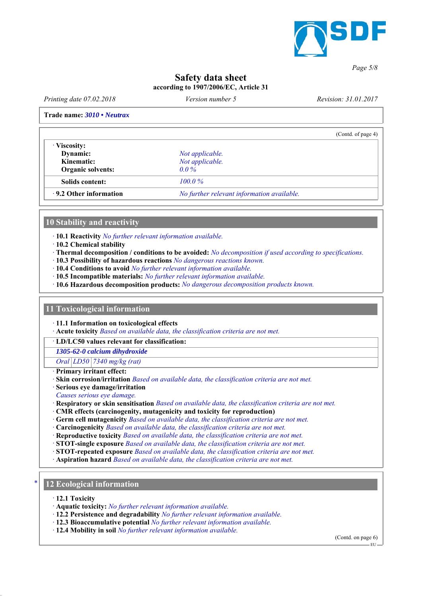

*Page 5/8*

## **Safety data sheet according to 1907/2006/EC, Article 31**

*Printing date 07.02.2018 Revision: 31.01.2017 Version number 5*

#### **Trade name:** *3010 • Neutrax*

|                                            | (Contd. of page 4) |
|--------------------------------------------|--------------------|
|                                            |                    |
| Not applicable.                            |                    |
| Not applicable.                            |                    |
| $0.0\%$                                    |                    |
| $100.0\%$                                  |                    |
| No further relevant information available. |                    |
|                                            |                    |

#### **10 Stability and reactivity**

*ꞏ* **10.1 Reactivity** *No further relevant information available.*

- *ꞏ* **10.2 Chemical stability**
- *ꞏ* **Thermal decomposition / conditions to be avoided:** *No decomposition if used according to specifications.*
- *ꞏ* **10.3 Possibility of hazardous reactions** *No dangerous reactions known.*
- *ꞏ* **10.4 Conditions to avoid** *No further relevant information available.*
- *ꞏ* **10.5 Incompatible materials:** *No further relevant information available.*
- *ꞏ* **10.6 Hazardous decomposition products:** *No dangerous decomposition products known.*

#### **11 Toxicological information**

*ꞏ* **11.1 Information on toxicological effects**

*ꞏ* **Acute toxicity** *Based on available data, the classification criteria are not met.*

*ꞏ* **LD/LC50 values relevant for classification:**

*1305-62-0 calcium dihydroxide*

*Oral LD50 7340 mg/kg (rat)*

- *ꞏ* **Primary irritant effect:**
- *ꞏ* **Skin corrosion/irritation** *Based on available data, the classification criteria are not met.*
- *ꞏ* **Serious eye damage/irritation**

*Causes serious eye damage.*

- *ꞏ* **Respiratory or skin sensitisation** *Based on available data, the classification criteria are not met.*
- *ꞏ* **CMR effects (carcinogenity, mutagenicity and toxicity for reproduction)**
- *ꞏ* **Germ cell mutagenicity** *Based on available data, the classification criteria are not met.*
- *ꞏ* **Carcinogenicity** *Based on available data, the classification criteria are not met.*
- *ꞏ* **Reproductive toxicity** *Based on available data, the classification criteria are not met.*
- *ꞏ* **STOT-single exposure** *Based on available data, the classification criteria are not met.*
- *ꞏ* **STOT-repeated exposure** *Based on available data, the classification criteria are not met.*
- *ꞏ* **Aspiration hazard** *Based on available data, the classification criteria are not met.*

## *\** **12 Ecological information**

- *ꞏ* **12.1 Toxicity**
- *ꞏ* **Aquatic toxicity:** *No further relevant information available.*
- *ꞏ* **12.2 Persistence and degradability** *No further relevant information available.*
- *ꞏ* **12.3 Bioaccumulative potential** *No further relevant information available.*
- *ꞏ* **12.4 Mobility in soil** *No further relevant information available.*

(Contd. on page 6) .<br>- EU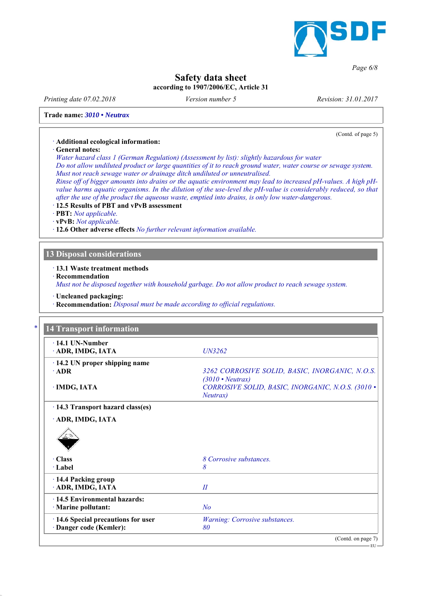

#### *Page 6/8*

# **Safety data sheet**

**according to 1907/2006/EC, Article 31**

*Printing date 07.02.2018 Revision: 31.01.2017 Version number 5*

(Contd. of page 5)

**Trade name:** *3010 • Neutrax*

#### *ꞏ* **Additional ecological information:**

*ꞏ* **General notes:**

*Water hazard class 1 (German Regulation) (Assessment by list): slightly hazardous for water Do not allow undiluted product or large quantities of it to reach ground water, water course or sewage system. Must not reach sewage water or drainage ditch undiluted or unneutralised. Rinse off of bigger amounts into drains or the aquatic environment may lead to increased pH-values. A high pHvalue harms aquatic organisms. In the dilution of the use-level the pH-value is considerably reduced, so that after the use of the product the aqueous waste, emptied into drains, is only low water-dangerous.*

*ꞏ* **12.5 Results of PBT and vPvB assessment**

*ꞏ* **PBT:** *Not applicable.*

*ꞏ* **vPvB:** *Not applicable.*

*ꞏ* **12.6 Other adverse effects** *No further relevant information available.*

## **13 Disposal considerations**

*ꞏ* **13.1 Waste treatment methods**

*ꞏ* **Recommendation**

*Must not be disposed together with household garbage. Do not allow product to reach sewage system.*

*ꞏ* **Uncleaned packaging:**

*ꞏ* **Recommendation:** *Disposal must be made according to official regulations.*

| $\cdot$ 14.1 UN-Number<br>· ADR, IMDG, IATA         | UN3262                                                                                  |
|-----------------------------------------------------|-----------------------------------------------------------------------------------------|
| $\cdot$ 14.2 UN proper shipping name<br>$\cdot$ ADR | 3262 CORROSIVE SOLID, BASIC, INORGANIC, N.O.S.                                          |
| · IMDG, IATA                                        | $(3010 \cdot Neutrax)$<br>CORROSIVE SOLID, BASIC, INORGANIC, N.O.S. (3010 .<br>Neutrax) |
| · 14.3 Transport hazard class(es)                   |                                                                                         |
| ADR, IMDG, IATA                                     |                                                                                         |
|                                                     |                                                                                         |
|                                                     |                                                                                         |
| · Class                                             | 8 Corrosive substances.                                                                 |
| $\cdot$ Label                                       | 8                                                                                       |
|                                                     |                                                                                         |
| 14.4 Packing group<br>ADR, IMDG, IATA               | II                                                                                      |
| · 14.5 Environmental hazards:                       |                                                                                         |
| · Marine pollutant:                                 | N <sub>o</sub>                                                                          |
| · 14.6 Special precautions for user                 | Warning: Corrosive substances.                                                          |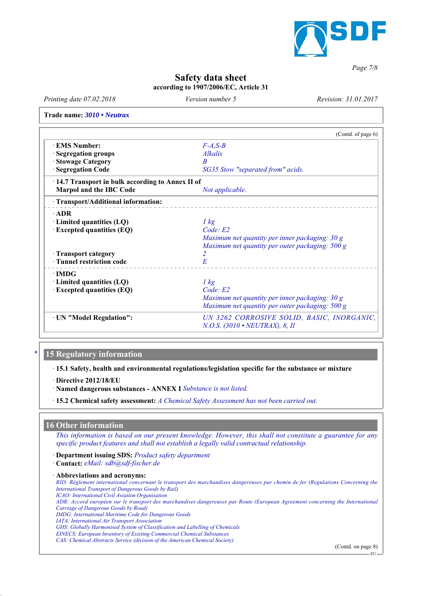

*Page 7/8*

# **Safety data sheet**

**according to 1907/2006/EC, Article 31**

*Printing date 07.02.2018 Revision: 31.01.2017 Version number 5*

**Trade name:** *3010 • Neutrax*

|                                                   | (Contd. of page 6)                              |
|---------------------------------------------------|-------------------------------------------------|
| · EMS Number:                                     | $F-A, S-B$                                      |
| <b>Segregation groups</b>                         | <i>Alkalis</i>                                  |
| <b>Stowage Category</b>                           | B                                               |
| <b>Segregation Code</b>                           | SG35 Stow "separated from" acids.               |
| · 14.7 Transport in bulk according to Annex II of |                                                 |
| Marpol and the IBC Code                           | Not applicable.                                 |
| · Transport/Additional information:               |                                                 |
| $\cdot$ ADR                                       |                                                 |
| · Limited quantities (LQ)                         | $1 \text{ kg}$                                  |
| <b>Excepted quantities (EQ)</b>                   | Code: E2                                        |
|                                                   | Maximum net quantity per inner packaging: 30 g  |
|                                                   | Maximum net quantity per outer packaging: 500 g |
| · Transport category                              | 2                                               |
| · Tunnel restriction code                         | E                                               |
| $\cdot$ IMDG                                      |                                                 |
| $\cdot$ Limited quantities (LQ)                   | $1 \text{ kg}$                                  |
| $\cdot$ Excepted quantities (EQ)                  | Code: E2                                        |
|                                                   | Maximum net quantity per inner packaging: 30 g  |
|                                                   | Maximum net quantity per outer packaging: 500 g |
| · UN "Model Regulation":                          | UN 3262 CORROSIVE SOLID, BASIC, INORGANIC,      |
|                                                   | N.O.S. (3010 • NEUTRAX), 8, II                  |

#### *\** **15 Regulatory information**

*ꞏ* **15.1 Safety, health and environmental regulations/legislation specific for the substance or mixture**

*ꞏ* **Directive 2012/18/EU**

*ꞏ* **Named dangerous substances - ANNEX I** *Substance is not listed.*

*ꞏ* **15.2 Chemical safety assessment:** *A Chemical Safety Assessment has not been carried out.*

#### **16 Other information**

*This information is based on our present knowledge. However, this shall not constitute a guarantee for any specific product features and shall not establish a legally valid contractual relationship.*

*ꞏ* **Department issuing SDS:** *Product safety department*

*ꞏ* **Contact:** *eMail: sdb@sdf-fischer.de*

*ꞏ* **Abbreviations and acronyms:**

*RID: Règlement international concernant le transport des marchandises dangereuses par chemin de fer (Regulations Concerning the International Transport of Dangerous Goods by Rail) ICAO: International Civil Aviation Organisation ADR: Accord européen sur le transport des marchandises dangereuses par Route (European Agreement concerning the International Carriage of Dangerous Goods by Road) IMDG: International Maritime Code for Dangerous Goods IATA: International Air Transport Association GHS: Globally Harmonised System of Classification and Labelling of Chemicals EINECS: European Inventory of Existing Commercial Chemical Substances CAS: Chemical Abstracts Service (division of the American Chemical Society)*

(Contd. on page 8)

 $E_{\rm H}$